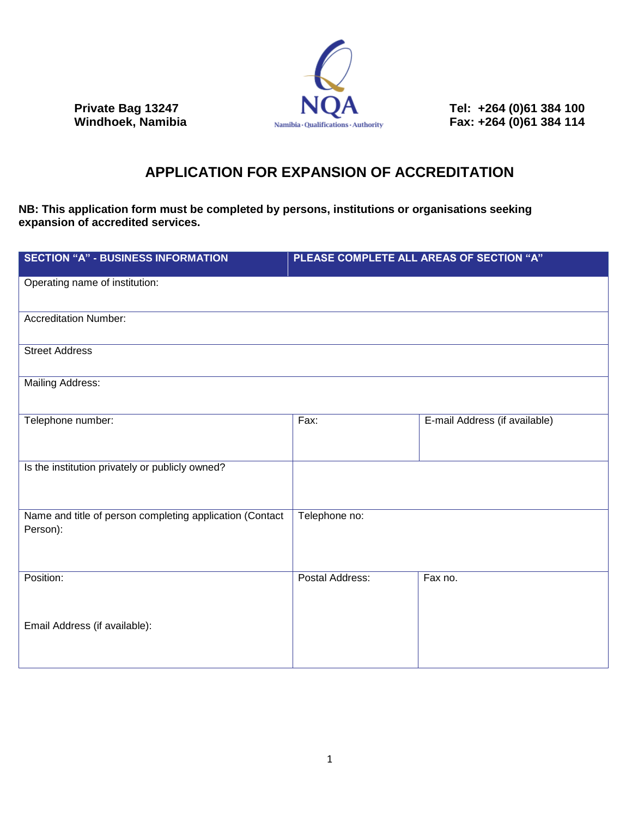

**Private Bag 13247 Private Bag 13247 Tel: +264 (0)61 384 100 Windhoek, Namibia Private Sections:** Authority **Private Private Private Private Private Private Private Private Private Private Private Private Private P Namibia Qualifications Authority Fax: +264 (0)61 384 114** 

## **APPLICATION FOR EXPANSION OF ACCREDITATION**

**NB: This application form must be completed by persons, institutions or organisations seeking expansion of accredited services.**

| <b>SECTION "A" - BUSINESS INFORMATION</b>                            | PLEASE COMPLETE ALL AREAS OF SECTION "A" |                               |
|----------------------------------------------------------------------|------------------------------------------|-------------------------------|
| Operating name of institution:                                       |                                          |                               |
| <b>Accreditation Number:</b>                                         |                                          |                               |
| <b>Street Address</b>                                                |                                          |                               |
| <b>Mailing Address:</b>                                              |                                          |                               |
| Telephone number:                                                    | Fax:                                     | E-mail Address (if available) |
| Is the institution privately or publicly owned?                      |                                          |                               |
| Name and title of person completing application (Contact<br>Person): | Telephone no:                            |                               |
| Position:                                                            | Postal Address:                          | Fax no.                       |
| Email Address (if available):                                        |                                          |                               |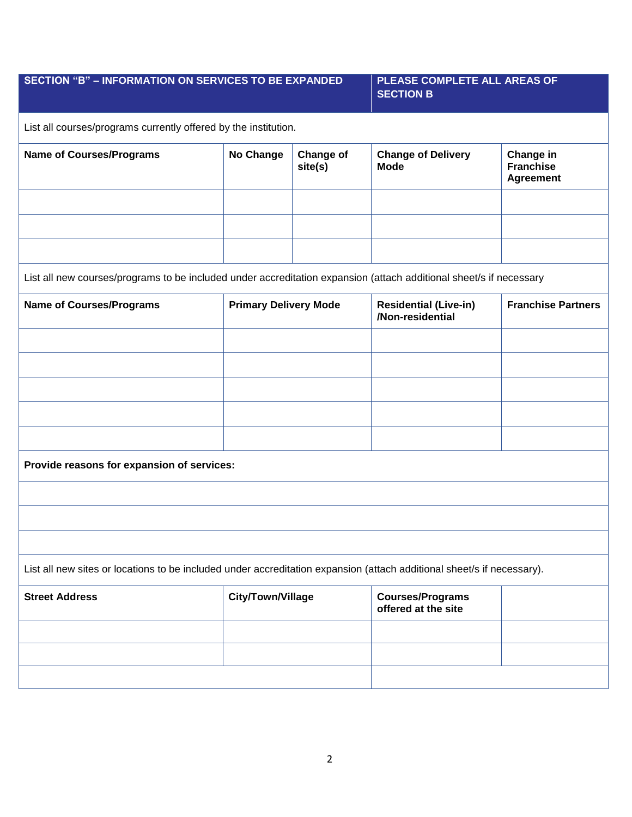## **SECTION "B" – INFORMATION ON SERVICES TO BE EXPANDED PLEASE COMPLETE ALL AREAS OF SECTION B** List all courses/programs currently offered by the institution.

| <b>Name of Courses/Programs</b> | No Change | <b>Change of</b><br>site(s) | <b>Change of Delivery</b><br><b>Mode</b> | Change in<br><b>Franchise</b><br>Agreement |
|---------------------------------|-----------|-----------------------------|------------------------------------------|--------------------------------------------|
|                                 |           |                             |                                          |                                            |
|                                 |           |                             |                                          |                                            |
|                                 |           |                             |                                          |                                            |

List all new courses/programs to be included under accreditation expansion (attach additional sheet/s if necessary

| <b>Name of Courses/Programs</b>                                                                                        | <b>Primary Delivery Mode</b> | <b>Residential (Live-in)</b><br>/Non-residential | <b>Franchise Partners</b> |
|------------------------------------------------------------------------------------------------------------------------|------------------------------|--------------------------------------------------|---------------------------|
|                                                                                                                        |                              |                                                  |                           |
|                                                                                                                        |                              |                                                  |                           |
|                                                                                                                        |                              |                                                  |                           |
|                                                                                                                        |                              |                                                  |                           |
|                                                                                                                        |                              |                                                  |                           |
| Provide reasons for expansion of services:                                                                             |                              |                                                  |                           |
|                                                                                                                        |                              |                                                  |                           |
|                                                                                                                        |                              |                                                  |                           |
|                                                                                                                        |                              |                                                  |                           |
| List all new sites or locations to be included under accreditation expansion (attach additional sheet/s if necessary). |                              |                                                  |                           |
| <b>Street Address</b>                                                                                                  | City/Town/Village            | <b>Courses/Programs</b><br>offered at the site   |                           |

| <b>Street Address</b> | City/Town/Village | Courses/Programs<br>offered at the site |  |
|-----------------------|-------------------|-----------------------------------------|--|
|                       |                   |                                         |  |
|                       |                   |                                         |  |
|                       |                   |                                         |  |